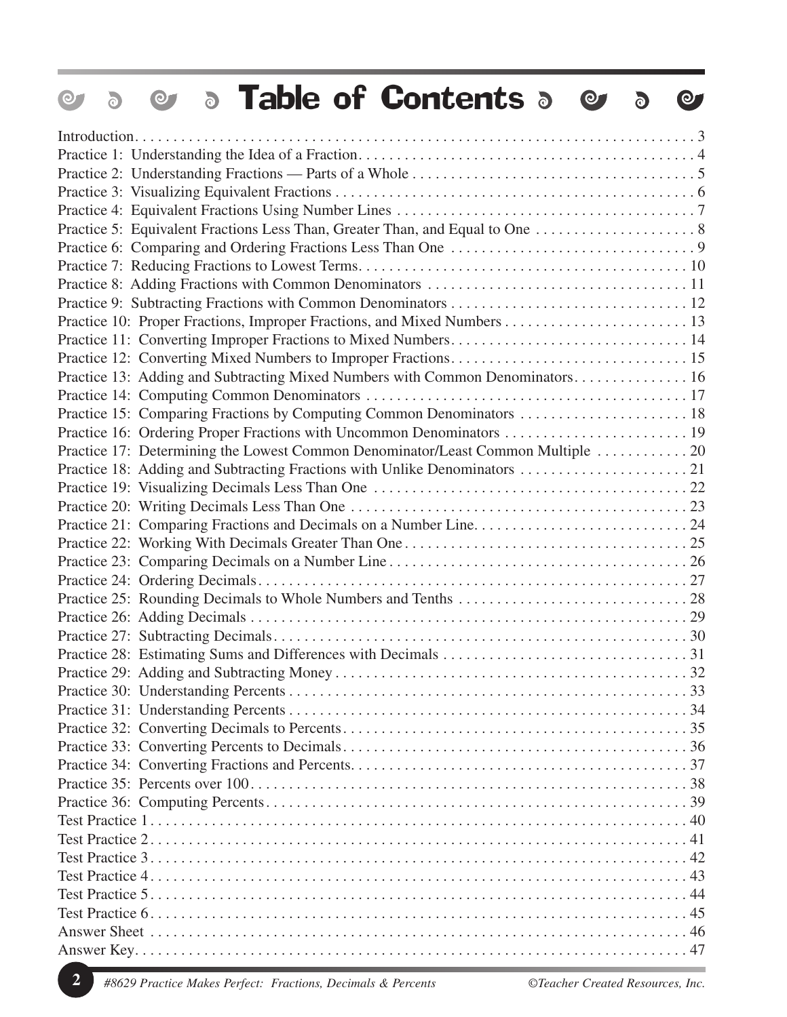| <b>S</b> Table of Contents <b>S</b><br>$\bullet$<br>$\odot$<br>$\delta$          | $\Theta$ |
|----------------------------------------------------------------------------------|----------|
|                                                                                  |          |
|                                                                                  |          |
|                                                                                  |          |
|                                                                                  |          |
|                                                                                  |          |
|                                                                                  |          |
|                                                                                  |          |
|                                                                                  |          |
|                                                                                  |          |
|                                                                                  |          |
|                                                                                  |          |
| Practice 11: Converting Improper Fractions to Mixed Numbers 14                   |          |
|                                                                                  |          |
| Practice 13: Adding and Subtracting Mixed Numbers with Common Denominators 16    |          |
|                                                                                  |          |
|                                                                                  |          |
| Practice 15: Comparing Fractions by Computing Common Denominators  18            |          |
|                                                                                  |          |
| Practice 17: Determining the Lowest Common Denominator/Least Common Multiple  20 |          |
| Practice 18: Adding and Subtracting Fractions with Unlike Denominators  21       |          |
|                                                                                  |          |
|                                                                                  |          |
|                                                                                  |          |
|                                                                                  |          |
|                                                                                  |          |
|                                                                                  |          |
|                                                                                  |          |
|                                                                                  |          |
|                                                                                  |          |
|                                                                                  | 31       |
|                                                                                  |          |
|                                                                                  |          |
|                                                                                  |          |
|                                                                                  |          |
|                                                                                  |          |
|                                                                                  |          |
|                                                                                  |          |
|                                                                                  |          |
|                                                                                  |          |
|                                                                                  |          |
|                                                                                  |          |
|                                                                                  |          |
|                                                                                  |          |
|                                                                                  |          |
|                                                                                  |          |
|                                                                                  |          |
|                                                                                  |          |

**2** *#8629 Practice Makes Perfect: Fractions, Decimals & Percents ©Teacher Created Resources, Inc.*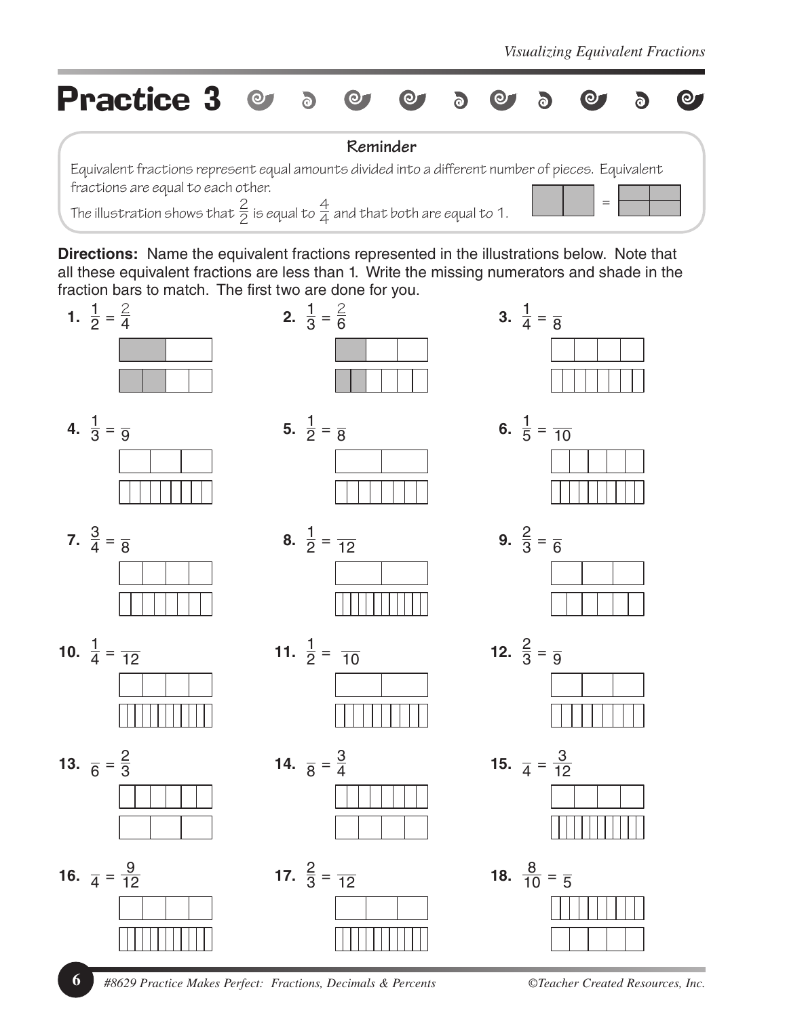

**Directions:** Name the equivalent fractions represented in the illustrations below. Note that all these equivalent fractions are less than 1. Write the missing numerators and shade in the fraction bars to match. The first two are done for you.



**6** *#8629 Practice Makes Perfect: Fractions, Decimals & Percents ©Teacher Created Resources, Inc.*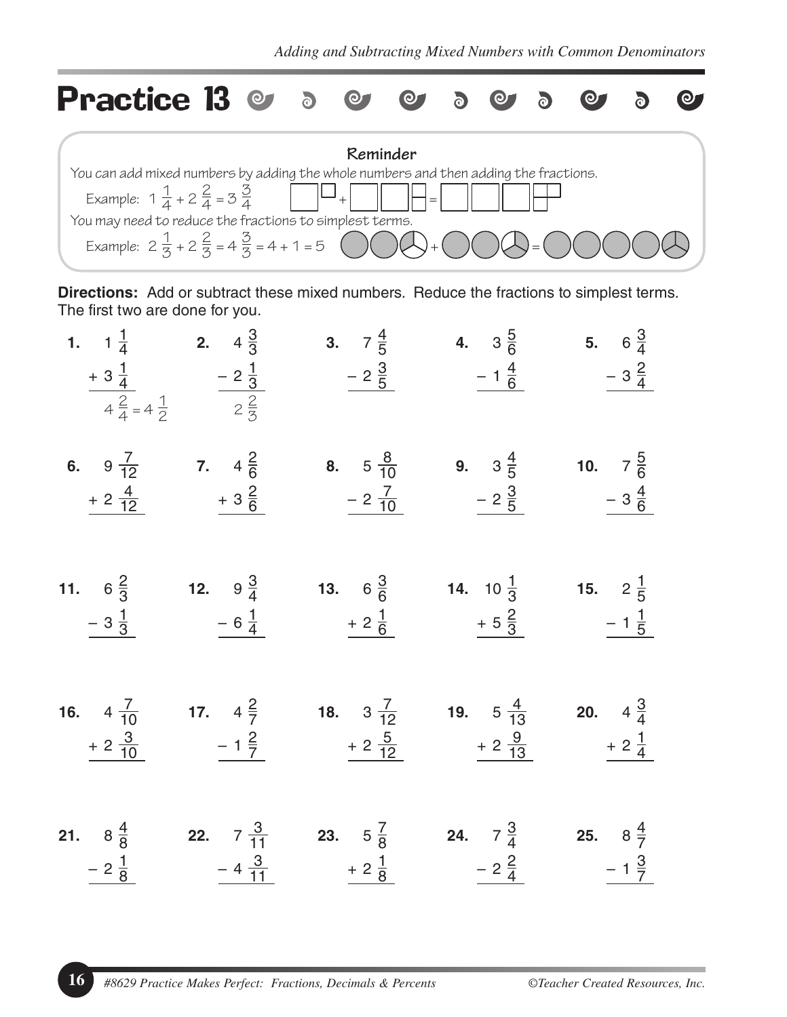

**Directions:** Add or subtract these mixed numbers. Reduce the fractions to simplest terms. The first two are done for you.

|                  | 1. $1\frac{1}{4}$ 2. $4\frac{3}{3}$ | $rac{+3\frac{1}{4}}{4\frac{2}{4}=4\frac{1}{2}}$ $rac{-2\frac{1}{3}}{2\frac{2}{3}}$ $rac{-2\frac{3}{5}}{2\frac{1}{2}}$ $rac{-1\frac{4}{6}}{2\frac{1}{2}}$ $rac{-3\frac{2}{4}}{2\frac{1}{2}}$                                                                                                                                     | <b>3.</b> $7\frac{4}{5}$ <b>4.</b> $3\frac{5}{6}$ <b>5.</b> $6\frac{3}{4}$ |                                              |
|------------------|-------------------------------------|---------------------------------------------------------------------------------------------------------------------------------------------------------------------------------------------------------------------------------------------------------------------------------------------------------------------------------|----------------------------------------------------------------------------|----------------------------------------------|
| $+2\frac{4}{12}$ | $+3\frac{2}{6}$                     | <b>6.</b> $9\frac{7}{12}$ <b>7.</b> $4\frac{2}{6}$ <b>8.</b> $5\frac{8}{10}$ <b>9.</b> $3\frac{4}{5}$ <b>10.</b> $7\frac{5}{6}$<br>$-2\frac{7}{10}$                                                                                                                                                                             | $\frac{-2\frac{3}{5}}{2\frac{4}{5}}$ $\frac{-3\frac{4}{6}}{2\frac{4}{5}}$  |                                              |
| $-3\frac{1}{3}$  | $-6\frac{1}{4}$                     | 11. $6\frac{2}{3}$ 12. $9\frac{3}{4}$ 13. $6\frac{3}{6}$ 14. $10\frac{1}{3}$<br>$+2\frac{1}{6}$                                                                                                                                                                                                                                 | $+5\frac{2}{3}$                                                            | <b>15.</b> $2\frac{1}{5}$<br>$-1\frac{1}{5}$ |
| $+2\frac{3}{10}$ | $-1\frac{2}{7}$                     | <b>16.</b> $4\frac{7}{10}$ <b>17.</b> $4\frac{2}{7}$ <b>18.</b> $3\frac{7}{12}$ <b>19.</b> $5\frac{4}{13}$ <b>20.</b> $4\frac{3}{4}$<br>$+ 2 \frac{5}{12}$ $+ 2 \frac{9}{13}$                                                                                                                                                   |                                                                            | $+2\frac{1}{4}$                              |
|                  |                                     | <b>21.</b> $8\frac{4}{8}$ <b>22.</b> $7\frac{3}{11}$ <b>23.</b> $5\frac{7}{8}$ <b>24.</b> $7\frac{3}{4}$ <b>25.</b> $8\frac{4}{7}$<br>$\frac{-2\frac{1}{8}}{2\frac{1}{8}}$ $\frac{-4\frac{3}{11}}{2\frac{1}{8}}$ $\frac{+2\frac{1}{8}}{2\frac{1}{8}}$ $\frac{-2\frac{2}{4}}{2\frac{1}{8}}$ $\frac{-1\frac{3}{7}}{2\frac{1}{8}}$ |                                                                            |                                              |